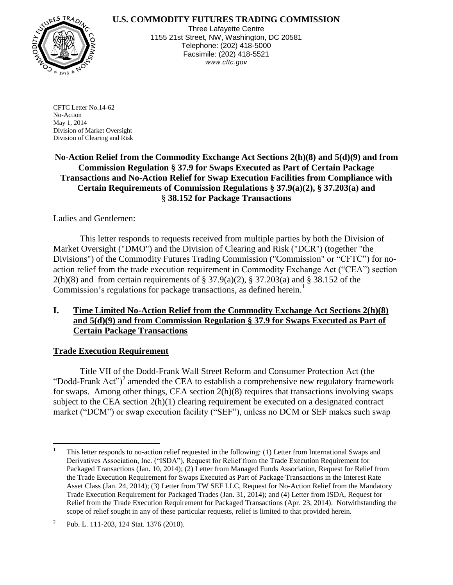# **U.S. COMMODITY FUTURES TRADING COMMISSION**



Three Lafayette Centre 1155 21st Street, NW, Washington, DC 20581 Telephone: (202) 418-5000 Facsimile: (202) 418-5521 *www.cftc.gov*

CFTC Letter No.14-62 No-Action May 1, 2014 Division of Market Oversight Division of Clearing and Risk

**No-Action Relief from the Commodity Exchange Act Sections 2(h)(8) and 5(d)(9) and from Commission Regulation § 37.9 for Swaps Executed as Part of Certain Package Transactions and No-Action Relief for Swap Execution Facilities from Compliance with Certain Requirements of Commission Regulations § 37.9(a)(2), § 37.203(a) and** § **38.152 for Package Transactions**

Ladies and Gentlemen:

This letter responds to requests received from multiple parties by both the Division of Market Oversight ("DMO") and the Division of Clearing and Risk ("DCR") (together "the Divisions") of the Commodity Futures Trading Commission ("Commission" or "CFTC") for noaction relief from the trade execution requirement in Commodity Exchange Act ("CEA") section  $2(h)(8)$  and from certain requirements of § 37.9(a)(2), § 37.203(a) and § 38.152 of the Commission's regulations for package transactions, as defined herein.<sup>1</sup>

# **I. Time Limited No-Action Relief from the Commodity Exchange Act Sections 2(h)(8) and 5(d)(9) and from Commission Regulation § 37.9 for Swaps Executed as Part of Certain Package Transactions**

#### **Trade Execution Requirement**

Title VII of the Dodd-Frank Wall Street Reform and Consumer Protection Act (the "Dodd-Frank Act" $)^2$  amended the CEA to establish a comprehensive new regulatory framework for swaps. Among other things, CEA section 2(h)(8) requires that transactions involving swaps subject to the CEA section 2(h)(1) clearing requirement be executed on a designated contract market ("DCM") or swap execution facility ("SEF"), unless no DCM or SEF makes such swap

 $\overline{a}$ <sup>1</sup> This letter responds to no-action relief requested in the following: (1) Letter from International Swaps and Derivatives Association, Inc. ("ISDA"), Request for Relief from the Trade Execution Requirement for Packaged Transactions (Jan. 10, 2014); (2) Letter from Managed Funds Association, Request for Relief from the Trade Execution Requirement for Swaps Executed as Part of Package Transactions in the Interest Rate Asset Class (Jan. 24, 2014); (3) Letter from TW SEF LLC, Request for No-Action Relief from the Mandatory Trade Execution Requirement for Packaged Trades (Jan. 31, 2014); and (4) Letter from ISDA, Request for Relief from the Trade Execution Requirement for Packaged Transactions (Apr. 23, 2014). Notwithstanding the scope of relief sought in any of these particular requests, relief is limited to that provided herein.

<sup>2</sup> Pub. L. 111-203, 124 Stat. 1376 (2010).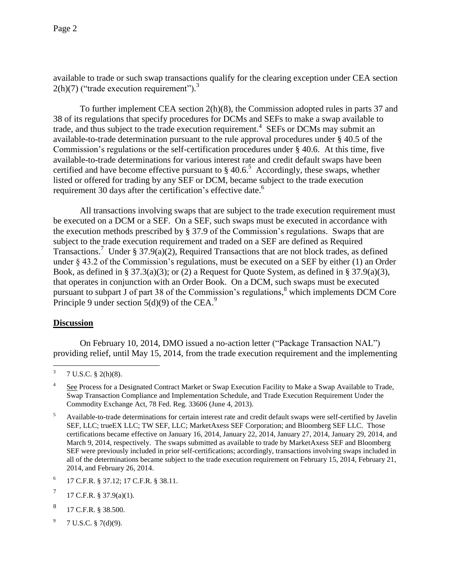available to trade or such swap transactions qualify for the clearing exception under CEA section  $2(h)(7)$  ("trade execution requirement").<sup>3</sup>

To further implement CEA section 2(h)(8), the Commission adopted rules in parts 37 and 38 of its regulations that specify procedures for DCMs and SEFs to make a swap available to trade, and thus subject to the trade execution requirement.<sup>4</sup> SEFs or DCMs may submit an available-to-trade determination pursuant to the rule approval procedures under § 40.5 of the Commission's regulations or the self-certification procedures under § 40.6. At this time, five available-to-trade determinations for various interest rate and credit default swaps have been certified and have become effective pursuant to  $\S 40.6$ <sup>5</sup> Accordingly, these swaps, whether listed or offered for trading by any SEF or DCM, became subject to the trade execution requirement 30 days after the certification's effective date.<sup>6</sup>

All transactions involving swaps that are subject to the trade execution requirement must be executed on a DCM or a SEF. On a SEF, such swaps must be executed in accordance with the execution methods prescribed by § 37.9 of the Commission's regulations. Swaps that are subject to the trade execution requirement and traded on a SEF are defined as Required Transactions.<sup>7</sup> Under § 37.9(a)(2), Required Transactions that are not block trades, as defined under § 43.2 of the Commission's regulations, must be executed on a SEF by either (1) an Order Book, as defined in § 37.3(a)(3); or (2) a Request for Quote System, as defined in § 37.9(a)(3), that operates in conjunction with an Order Book. On a DCM, such swaps must be executed pursuant to subpart J of part 38 of the Commission's regulations,  $\delta$  which implements DCM Core Principle 9 under section  $5(d)(9)$  of the CEA.<sup>9</sup>

# **Discussion**

 $\overline{a}$ 

On February 10, 2014, DMO issued a no-action letter ("Package Transaction NAL") providing relief, until May 15, 2014, from the trade execution requirement and the implementing

- 8 17 C.F.R. § 38.500.
- 9 7 U.S.C. § 7(d)(9).

<sup>3</sup> 7 U.S.C. § 2(h)(8).

<sup>4</sup> See Process for a Designated Contract Market or Swap Execution Facility to Make a Swap Available to Trade, Swap Transaction Compliance and Implementation Schedule, and Trade Execution Requirement Under the Commodity Exchange Act, 78 Fed. Reg. 33606 (June 4, 2013).

<sup>5</sup> Available-to-trade determinations for certain interest rate and credit default swaps were self-certified by Javelin SEF, LLC; trueEX LLC; TW SEF, LLC; MarketAxess SEF Corporation; and Bloomberg SEF LLC. Those certifications became effective on January 16, 2014, January 22, 2014, January 27, 2014, January 29, 2014, and March 9, 2014, respectively. The swaps submitted as available to trade by MarketAxess SEF and Bloomberg SEF were previously included in prior self-certifications; accordingly, transactions involving swaps included in all of the determinations became subject to the trade execution requirement on February 15, 2014, February 21, 2014, and February 26, 2014.

<sup>6</sup> 17 C.F.R. § 37.12; 17 C.F.R. § 38.11.

<sup>7</sup> 17 C.F.R. § 37.9(a)(1).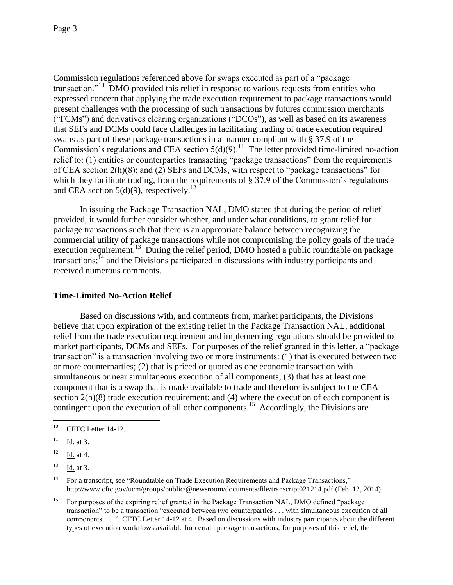Commission regulations referenced above for swaps executed as part of a "package transaction."<sup>10</sup> DMO provided this relief in response to various requests from entities who expressed concern that applying the trade execution requirement to package transactions would present challenges with the processing of such transactions by futures commission merchants ("FCMs") and derivatives clearing organizations ("DCOs"), as well as based on its awareness that SEFs and DCMs could face challenges in facilitating trading of trade execution required swaps as part of these package transactions in a manner compliant with § 37.9 of the Commission's regulations and CEA section  $5(d)(9)$ .<sup>11</sup> The letter provided time-limited no-action relief to: (1) entities or counterparties transacting "package transactions" from the requirements of CEA section 2(h)(8); and (2) SEFs and DCMs, with respect to "package transactions" for which they facilitate trading, from the requirements of § 37.9 of the Commission's regulations and CEA section  $5(d)(9)$ , respectively.<sup>12</sup>

In issuing the Package Transaction NAL, DMO stated that during the period of relief provided, it would further consider whether, and under what conditions, to grant relief for package transactions such that there is an appropriate balance between recognizing the commercial utility of package transactions while not compromising the policy goals of the trade execution requirement.<sup>13</sup> During the relief period, DMO hosted a public roundtable on package transactions;<sup>14</sup> and the Divisions participated in discussions with industry participants and received numerous comments.

# **Time-Limited No-Action Relief**

Based on discussions with, and comments from, market participants, the Divisions believe that upon expiration of the existing relief in the Package Transaction NAL, additional relief from the trade execution requirement and implementing regulations should be provided to market participants, DCMs and SEFs. For purposes of the relief granted in this letter, a "package transaction" is a transaction involving two or more instruments: (1) that is executed between two or more counterparties; (2) that is priced or quoted as one economic transaction with simultaneous or near simultaneous execution of all components; (3) that has at least one component that is a swap that is made available to trade and therefore is subject to the CEA section 2(h)(8) trade execution requirement; and (4) where the execution of each component is contingent upon the execution of all other components.<sup>15</sup> Accordingly, the Divisions are

 $10\,$ CFTC Letter 14-12.

 $11$  Id. at 3.

 $12 \frac{Id.}{ }$  at 4.

 $13$  Id. at 3.

<sup>&</sup>lt;sup>14</sup> For a transcript, see "Roundtable on Trade Execution Requirements and Package Transactions," http://www.cftc.gov/ucm/groups/public/@newsroom/documents/file/transcript021214.pdf (Feb. 12, 2014).

<sup>&</sup>lt;sup>15</sup> For purposes of the expiring relief granted in the Package Transaction NAL, DMO defined "package" transaction" to be a transaction "executed between two counterparties . . . with simultaneous execution of all components. . . ." CFTC Letter 14-12 at 4. Based on discussions with industry participants about the different types of execution workflows available for certain package transactions, for purposes of this relief, the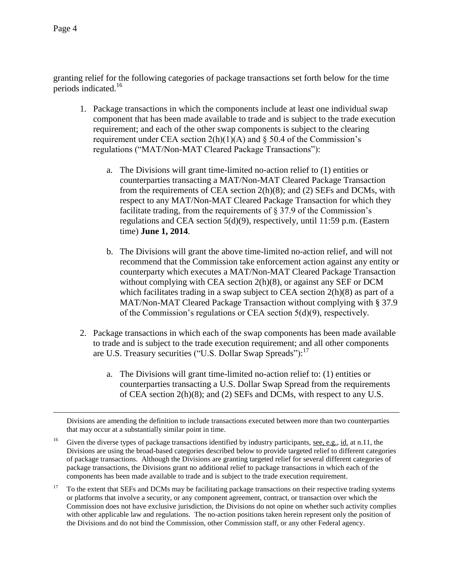$\overline{a}$ 

granting relief for the following categories of package transactions set forth below for the time periods indicated.<sup>16</sup>

- 1. Package transactions in which the components include at least one individual swap component that has been made available to trade and is subject to the trade execution requirement; and each of the other swap components is subject to the clearing requirement under CEA section  $2(h)(1)(A)$  and § 50.4 of the Commission's regulations ("MAT/Non-MAT Cleared Package Transactions"):
	- a. The Divisions will grant time-limited no-action relief to (1) entities or counterparties transacting a MAT/Non-MAT Cleared Package Transaction from the requirements of CEA section 2(h)(8); and (2) SEFs and DCMs, with respect to any MAT/Non-MAT Cleared Package Transaction for which they facilitate trading, from the requirements of § 37.9 of the Commission's regulations and CEA section 5(d)(9), respectively, until 11:59 p.m. (Eastern time) **June 1, 2014**.
	- b. The Divisions will grant the above time-limited no-action relief, and will not recommend that the Commission take enforcement action against any entity or counterparty which executes a MAT/Non-MAT Cleared Package Transaction without complying with CEA section 2(h)(8), or against any SEF or DCM which facilitates trading in a swap subject to CEA section 2(h)(8) as part of a MAT/Non-MAT Cleared Package Transaction without complying with § 37.9 of the Commission's regulations or CEA section 5(d)(9), respectively.
- 2. Package transactions in which each of the swap components has been made available to trade and is subject to the trade execution requirement; and all other components are U.S. Treasury securities ("U.S. Dollar Swap Spreads"):<sup>17</sup>
	- a. The Divisions will grant time-limited no-action relief to: (1) entities or counterparties transacting a U.S. Dollar Swap Spread from the requirements of CEA section 2(h)(8); and (2) SEFs and DCMs, with respect to any U.S.

Divisions are amending the definition to include transactions executed between more than two counterparties that may occur at a substantially similar point in time.

<sup>16</sup> Given the diverse types of package transactions identified by industry participants, see, e.g., id. at n.11, the Divisions are using the broad-based categories described below to provide targeted relief to different categories of package transactions. Although the Divisions are granting targeted relief for several different categories of package transactions, the Divisions grant no additional relief to package transactions in which each of the components has been made available to trade and is subject to the trade execution requirement.

<sup>17</sup> To the extent that SEFs and DCMs may be facilitating package transactions on their respective trading systems or platforms that involve a security, or any component agreement, contract, or transaction over which the Commission does not have exclusive jurisdiction, the Divisions do not opine on whether such activity complies with other applicable law and regulations. The no-action positions taken herein represent only the position of the Divisions and do not bind the Commission, other Commission staff, or any other Federal agency.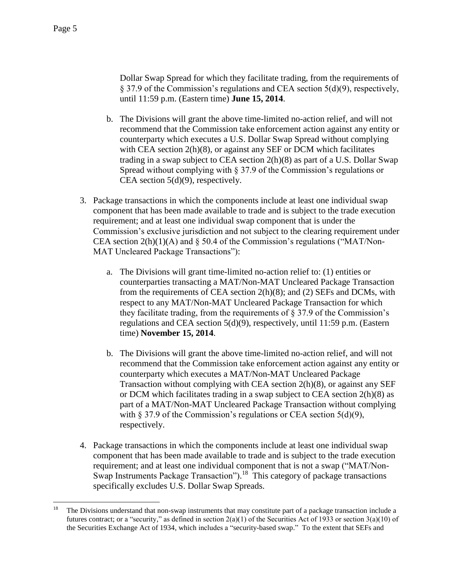Dollar Swap Spread for which they facilitate trading, from the requirements of § 37.9 of the Commission's regulations and CEA section 5(d)(9), respectively, until 11:59 p.m. (Eastern time) **June 15, 2014**.

- b. The Divisions will grant the above time-limited no-action relief, and will not recommend that the Commission take enforcement action against any entity or counterparty which executes a U.S. Dollar Swap Spread without complying with CEA section 2(h)(8), or against any SEF or DCM which facilitates trading in a swap subject to CEA section 2(h)(8) as part of a U.S. Dollar Swap Spread without complying with § 37.9 of the Commission's regulations or CEA section  $5(d)(9)$ , respectively.
- 3. Package transactions in which the components include at least one individual swap component that has been made available to trade and is subject to the trade execution requirement; and at least one individual swap component that is under the Commission's exclusive jurisdiction and not subject to the clearing requirement under CEA section  $2(h)(1)(A)$  and § 50.4 of the Commission's regulations ("MAT/Non-MAT Uncleared Package Transactions"):
	- a. The Divisions will grant time-limited no-action relief to: (1) entities or counterparties transacting a MAT/Non-MAT Uncleared Package Transaction from the requirements of CEA section 2(h)(8); and (2) SEFs and DCMs, with respect to any MAT/Non-MAT Uncleared Package Transaction for which they facilitate trading, from the requirements of  $\S 37.9$  of the Commission's regulations and CEA section 5(d)(9), respectively, until 11:59 p.m. (Eastern time) **November 15, 2014**.
	- b. The Divisions will grant the above time-limited no-action relief, and will not recommend that the Commission take enforcement action against any entity or counterparty which executes a MAT/Non-MAT Uncleared Package Transaction without complying with CEA section 2(h)(8), or against any SEF or DCM which facilitates trading in a swap subject to CEA section 2(h)(8) as part of a MAT/Non-MAT Uncleared Package Transaction without complying with  $\S 37.9$  of the Commission's regulations or CEA section  $5(d)(9)$ , respectively.
- 4. Package transactions in which the components include at least one individual swap component that has been made available to trade and is subject to the trade execution requirement; and at least one individual component that is not a swap ("MAT/Non-Swap Instruments Package Transaction").<sup>18</sup> This category of package transactions specifically excludes U.S. Dollar Swap Spreads.

<sup>18</sup> <sup>18</sup> The Divisions understand that non-swap instruments that may constitute part of a package transaction include a futures contract; or a "security," as defined in section  $2(a)(1)$  of the Securities Act of 1933 or section  $3(a)(10)$  of the Securities Exchange Act of 1934, which includes a "security-based swap." To the extent that SEFs and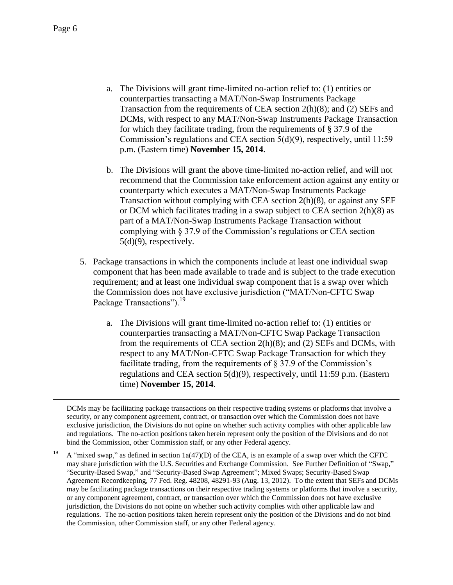$\overline{a}$ 

- a. The Divisions will grant time-limited no-action relief to: (1) entities or counterparties transacting a MAT/Non-Swap Instruments Package Transaction from the requirements of CEA section 2(h)(8); and (2) SEFs and DCMs, with respect to any MAT/Non-Swap Instruments Package Transaction for which they facilitate trading, from the requirements of § 37.9 of the Commission's regulations and CEA section 5(d)(9), respectively, until 11:59 p.m. (Eastern time) **November 15, 2014**.
- b. The Divisions will grant the above time-limited no-action relief, and will not recommend that the Commission take enforcement action against any entity or counterparty which executes a MAT/Non-Swap Instruments Package Transaction without complying with CEA section 2(h)(8), or against any SEF or DCM which facilitates trading in a swap subject to CEA section 2(h)(8) as part of a MAT/Non-Swap Instruments Package Transaction without complying with § 37.9 of the Commission's regulations or CEA section 5(d)(9), respectively.
- 5. Package transactions in which the components include at least one individual swap component that has been made available to trade and is subject to the trade execution requirement; and at least one individual swap component that is a swap over which the Commission does not have exclusive jurisdiction ("MAT/Non-CFTC Swap Package Transactions").<sup>19</sup>
	- a. The Divisions will grant time-limited no-action relief to: (1) entities or counterparties transacting a MAT/Non-CFTC Swap Package Transaction from the requirements of CEA section 2(h)(8); and (2) SEFs and DCMs, with respect to any MAT/Non-CFTC Swap Package Transaction for which they facilitate trading, from the requirements of § 37.9 of the Commission's regulations and CEA section 5(d)(9), respectively, until 11:59 p.m. (Eastern time) **November 15, 2014**.

DCMs may be facilitating package transactions on their respective trading systems or platforms that involve a security, or any component agreement, contract, or transaction over which the Commission does not have exclusive jurisdiction, the Divisions do not opine on whether such activity complies with other applicable law and regulations. The no-action positions taken herein represent only the position of the Divisions and do not bind the Commission, other Commission staff, or any other Federal agency.

<sup>&</sup>lt;sup>19</sup> A "mixed swap," as defined in section 1a(47)(D) of the CEA, is an example of a swap over which the CFTC may share jurisdiction with the U.S. Securities and Exchange Commission. See Further Definition of "Swap," "Security-Based Swap," and "Security-Based Swap Agreement"; Mixed Swaps; Security-Based Swap Agreement Recordkeeping, 77 Fed. Reg. 48208, 48291-93 (Aug. 13, 2012). To the extent that SEFs and DCMs may be facilitating package transactions on their respective trading systems or platforms that involve a security, or any component agreement, contract, or transaction over which the Commission does not have exclusive jurisdiction, the Divisions do not opine on whether such activity complies with other applicable law and regulations. The no-action positions taken herein represent only the position of the Divisions and do not bind the Commission, other Commission staff, or any other Federal agency.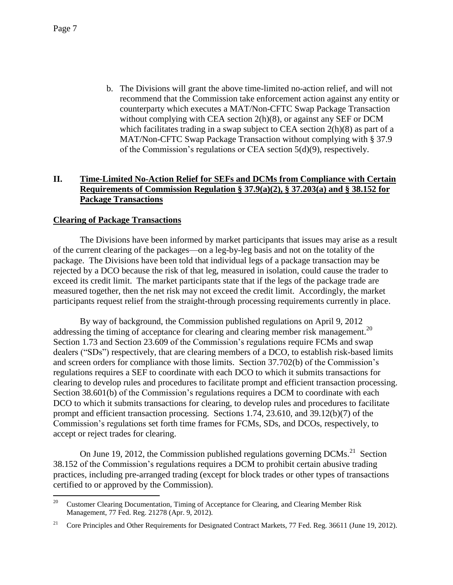b. The Divisions will grant the above time-limited no-action relief, and will not recommend that the Commission take enforcement action against any entity or counterparty which executes a MAT/Non-CFTC Swap Package Transaction without complying with CEA section 2(h)(8), or against any SEF or DCM which facilitates trading in a swap subject to CEA section 2(h)(8) as part of a MAT/Non-CFTC Swap Package Transaction without complying with § 37.9 of the Commission's regulations or CEA section 5(d)(9), respectively.

# **II. Time-Limited No-Action Relief for SEFs and DCMs from Compliance with Certain Requirements of Commission Regulation § 37.9(a)(2), § 37.203(a) and § 38.152 for Package Transactions**

#### **Clearing of Package Transactions**

The Divisions have been informed by market participants that issues may arise as a result of the current clearing of the packages—on a leg-by-leg basis and not on the totality of the package. The Divisions have been told that individual legs of a package transaction may be rejected by a DCO because the risk of that leg, measured in isolation, could cause the trader to exceed its credit limit. The market participants state that if the legs of the package trade are measured together, then the net risk may not exceed the credit limit. Accordingly, the market participants request relief from the straight-through processing requirements currently in place.

By way of background, the Commission published regulations on April 9, 2012 addressing the timing of acceptance for clearing and clearing member risk management.<sup>20</sup> Section 1.73 and Section 23.609 of the Commission's regulations require FCMs and swap dealers ("SDs") respectively, that are clearing members of a DCO, to establish risk-based limits and screen orders for compliance with those limits. Section 37.702(b) of the Commission's regulations requires a SEF to coordinate with each DCO to which it submits transactions for clearing to develop rules and procedures to facilitate prompt and efficient transaction processing. Section 38.601(b) of the Commission's regulations requires a DCM to coordinate with each DCO to which it submits transactions for clearing, to develop rules and procedures to facilitate prompt and efficient transaction processing. Sections 1.74, 23.610, and 39.12(b)(7) of the Commission's regulations set forth time frames for FCMs, SDs, and DCOs, respectively, to accept or reject trades for clearing.

On June 19, 2012, the Commission published regulations governing  $DCMs<sup>21</sup>$  Section 38.152 of the Commission's regulations requires a DCM to prohibit certain abusive trading practices, including pre-arranged trading (except for block trades or other types of transactions certified to or approved by the Commission).

<sup>&</sup>lt;sup>20</sup> Customer Clearing Documentation, Timing of Acceptance for Clearing, and Clearing Member Risk Management, 77 Fed. Reg. 21278 (Apr. 9, 2012).

<sup>&</sup>lt;sup>21</sup> Core Principles and Other Requirements for Designated Contract Markets, 77 Fed. Reg. 36611 (June 19, 2012).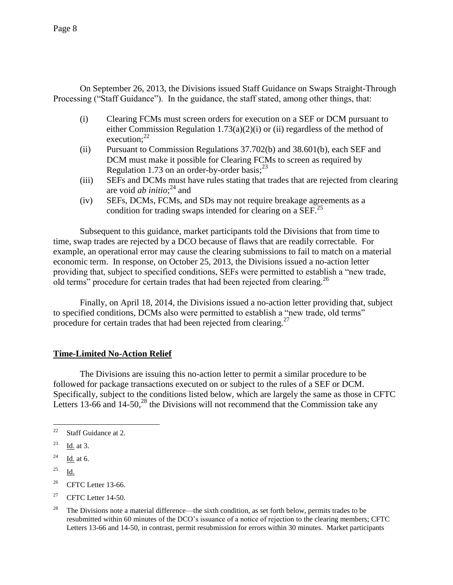On September 26, 2013, the Divisions issued Staff Guidance on Swaps Straight-Through Processing ("Staff Guidance"). In the guidance, the staff stated, among other things, that:

- (i) Clearing FCMs must screen orders for execution on a SEF or DCM pursuant to either Commission Regulation 1.73(a)(2)(i) or (ii) regardless of the method of execution: $22$
- (ii) Pursuant to Commission Regulations 37.702(b) and 38.601(b), each SEF and DCM must make it possible for Clearing FCMs to screen as required by Regulation 1.73 on an order-by-order basis;<sup>23</sup>
- (iii) SEFs and DCMs must have rules stating that trades that are rejected from clearing are void *ab initio*; <sup>24</sup> and
- (iv) SEFs, DCMs, FCMs, and SDs may not require breakage agreements as a condition for trading swaps intended for clearing on a SEF.<sup>25</sup>

Subsequent to this guidance, market participants told the Divisions that from time to time, swap trades are rejected by a DCO because of flaws that are readily correctable. For example, an operational error may cause the clearing submissions to fail to match on a material economic term. In response, on October 25, 2013, the Divisions issued a no-action letter providing that, subject to specified conditions, SEFs were permitted to establish a "new trade, old terms" procedure for certain trades that had been rejected from clearing.<sup>26</sup>

Finally, on April 18, 2014, the Divisions issued a no-action letter providing that, subject to specified conditions, DCMs also were permitted to establish a "new trade, old terms" procedure for certain trades that had been rejected from clearing.<sup>27</sup>

# **Time-Limited No-Action Relief**

The Divisions are issuing this no-action letter to permit a similar procedure to be followed for package transactions executed on or subject to the rules of a SEF or DCM. Specifically, subject to the conditions listed below, which are largely the same as those in CFTC Letters 13-66 and 14-50, $^{28}$  the Divisions will not recommend that the Commission take any

<sup>27</sup> CFTC Letter  $14-50$ .

 $22$ Staff Guidance at 2.

 $^{23}$  Id. at 3.

 $^{24}$  Id. at 6.

 $^{25}$  Id.

 $26$  CFTC Letter 13-66.

<sup>&</sup>lt;sup>28</sup> The Divisions note a material difference—the sixth condition, as set forth below, permits trades to be resubmitted within 60 minutes of the DCO's issuance of a notice of rejection to the clearing members; CFTC Letters 13-66 and 14-50, in contrast, permit resubmission for errors within 30 minutes. Market participants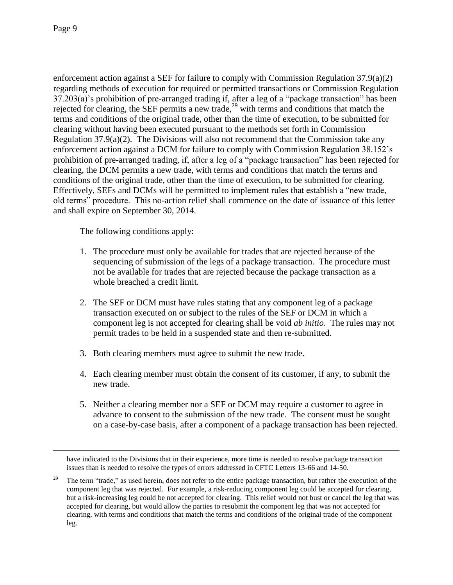$\overline{a}$ 

enforcement action against a SEF for failure to comply with Commission Regulation 37.9(a)(2) regarding methods of execution for required or permitted transactions or Commission Regulation 37.203(a)'s prohibition of pre-arranged trading if, after a leg of a "package transaction" has been rejected for clearing, the SEF permits a new trade, $^{29}$  with terms and conditions that match the terms and conditions of the original trade, other than the time of execution, to be submitted for clearing without having been executed pursuant to the methods set forth in Commission Regulation  $37.9(a)(2)$ . The Divisions will also not recommend that the Commission take any enforcement action against a DCM for failure to comply with Commission Regulation 38.152's prohibition of pre-arranged trading, if, after a leg of a "package transaction" has been rejected for clearing, the DCM permits a new trade, with terms and conditions that match the terms and conditions of the original trade, other than the time of execution, to be submitted for clearing. Effectively, SEFs and DCMs will be permitted to implement rules that establish a "new trade, old terms" procedure. This no-action relief shall commence on the date of issuance of this letter and shall expire on September 30, 2014.

The following conditions apply:

- 1. The procedure must only be available for trades that are rejected because of the sequencing of submission of the legs of a package transaction. The procedure must not be available for trades that are rejected because the package transaction as a whole breached a credit limit.
- 2. The SEF or DCM must have rules stating that any component leg of a package transaction executed on or subject to the rules of the SEF or DCM in which a component leg is not accepted for clearing shall be void *ab initio*. The rules may not permit trades to be held in a suspended state and then re-submitted.
- 3. Both clearing members must agree to submit the new trade.
- 4. Each clearing member must obtain the consent of its customer, if any, to submit the new trade.
- 5. Neither a clearing member nor a SEF or DCM may require a customer to agree in advance to consent to the submission of the new trade. The consent must be sought on a case-by-case basis, after a component of a package transaction has been rejected.

have indicated to the Divisions that in their experience, more time is needed to resolve package transaction issues than is needed to resolve the types of errors addressed in CFTC Letters 13-66 and 14-50.

<sup>29</sup> The term "trade," as used herein, does not refer to the entire package transaction, but rather the execution of the component leg that was rejected. For example, a risk-reducing component leg could be accepted for clearing, but a risk-increasing leg could be not accepted for clearing. This relief would not bust or cancel the leg that was accepted for clearing, but would allow the parties to resubmit the component leg that was not accepted for clearing, with terms and conditions that match the terms and conditions of the original trade of the component leg.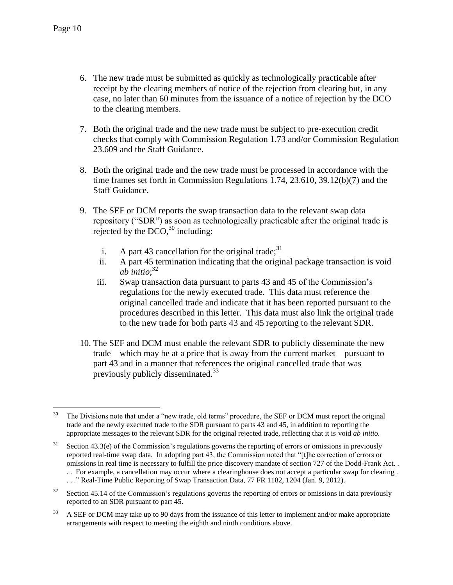- 6. The new trade must be submitted as quickly as technologically practicable after receipt by the clearing members of notice of the rejection from clearing but, in any case, no later than 60 minutes from the issuance of a notice of rejection by the DCO to the clearing members.
- 7. Both the original trade and the new trade must be subject to pre-execution credit checks that comply with Commission Regulation 1.73 and/or Commission Regulation 23.609 and the Staff Guidance.
- 8. Both the original trade and the new trade must be processed in accordance with the time frames set forth in Commission Regulations 1.74, 23.610, 39.12(b)(7) and the Staff Guidance.
- 9. The SEF or DCM reports the swap transaction data to the relevant swap data repository ("SDR") as soon as technologically practicable after the original trade is rejected by the  $DCO<sub>1</sub><sup>30</sup>$  including:
	- i. A part 43 cancellation for the original trade:  $31$
	- ii. A part 45 termination indicating that the original package transaction is void *ab initio*; 32
	- iii. Swap transaction data pursuant to parts 43 and 45 of the Commission's regulations for the newly executed trade. This data must reference the original cancelled trade and indicate that it has been reported pursuant to the procedures described in this letter. This data must also link the original trade to the new trade for both parts 43 and 45 reporting to the relevant SDR.
- 10. The SEF and DCM must enable the relevant SDR to publicly disseminate the new trade—which may be at a price that is away from the current market—pursuant to part 43 and in a manner that references the original cancelled trade that was previously publicly disseminated.<sup>33</sup>

 $30<sup>°</sup>$ The Divisions note that under a "new trade, old terms" procedure, the SEF or DCM must report the original trade and the newly executed trade to the SDR pursuant to parts 43 and 45, in addition to reporting the appropriate messages to the relevant SDR for the original rejected trade, reflecting that it is void *ab initio.*

 $31$  Section 43.3(e) of the Commission's regulations governs the reporting of errors or omissions in previously reported real-time swap data. In adopting part 43, the Commission noted that "[t]he correction of errors or omissions in real time is necessary to fulfill the price discovery mandate of section 727 of the Dodd-Frank Act. . . . For example, a cancellation may occur where a clearinghouse does not accept a particular swap for clearing .

<sup>. .</sup> ." Real-Time Public Reporting of Swap Transaction Data, 77 FR 1182, 1204 (Jan. 9, 2012).

<sup>&</sup>lt;sup>32</sup> Section 45.14 of the Commission's regulations governs the reporting of errors or omissions in data previously reported to an SDR pursuant to part 45.

<sup>&</sup>lt;sup>33</sup> A SEF or DCM may take up to 90 days from the issuance of this letter to implement and/or make appropriate arrangements with respect to meeting the eighth and ninth conditions above.